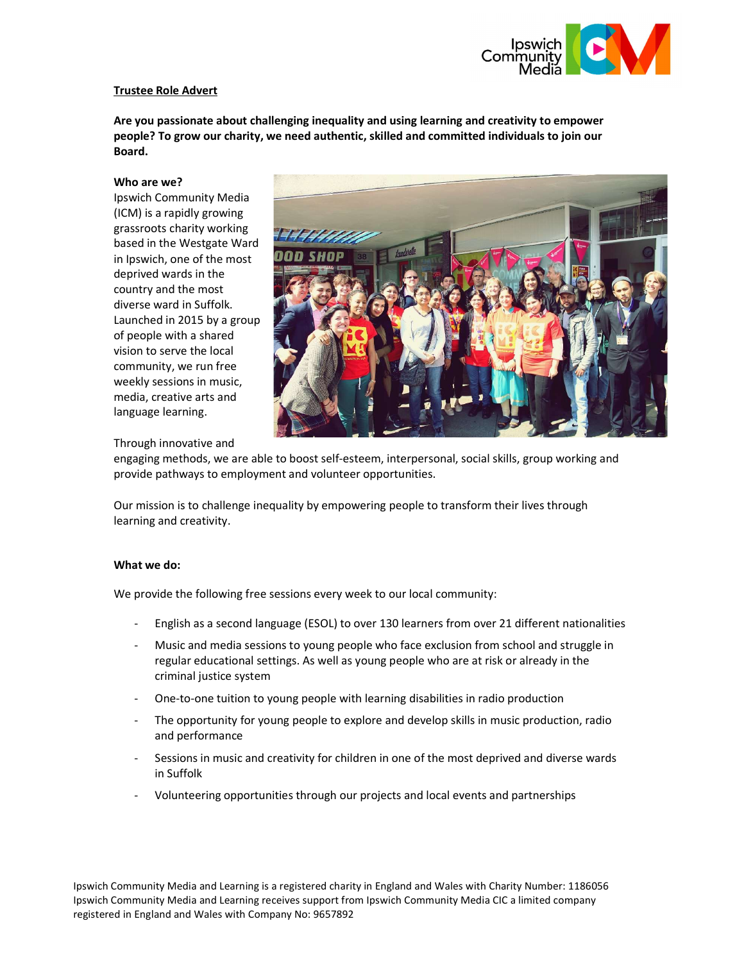

# Trustee Role Advert

Are you passionate about challenging inequality and using learning and creativity to empower people? To grow our charity, we need authentic, skilled and committed individuals to join our Board.

### Who are we?

Ipswich Community Media (ICM) is a rapidly growing grassroots charity working based in the Westgate Ward in Ipswich, one of the most deprived wards in the country and the most diverse ward in Suffolk. Launched in 2015 by a group of people with a shared vision to serve the local community, we run free weekly sessions in music, media, creative arts and language learning.



## Through innovative and

engaging methods, we are able to boost self-esteem, interpersonal, social skills, group working and provide pathways to employment and volunteer opportunities.

Our mission is to challenge inequality by empowering people to transform their lives through learning and creativity.

### What we do:

We provide the following free sessions every week to our local community:

- English as a second language (ESOL) to over 130 learners from over 21 different nationalities
- Music and media sessions to young people who face exclusion from school and struggle in regular educational settings. As well as young people who are at risk or already in the criminal justice system
- One-to-one tuition to young people with learning disabilities in radio production
- The opportunity for young people to explore and develop skills in music production, radio and performance
- Sessions in music and creativity for children in one of the most deprived and diverse wards in Suffolk
- Volunteering opportunities through our projects and local events and partnerships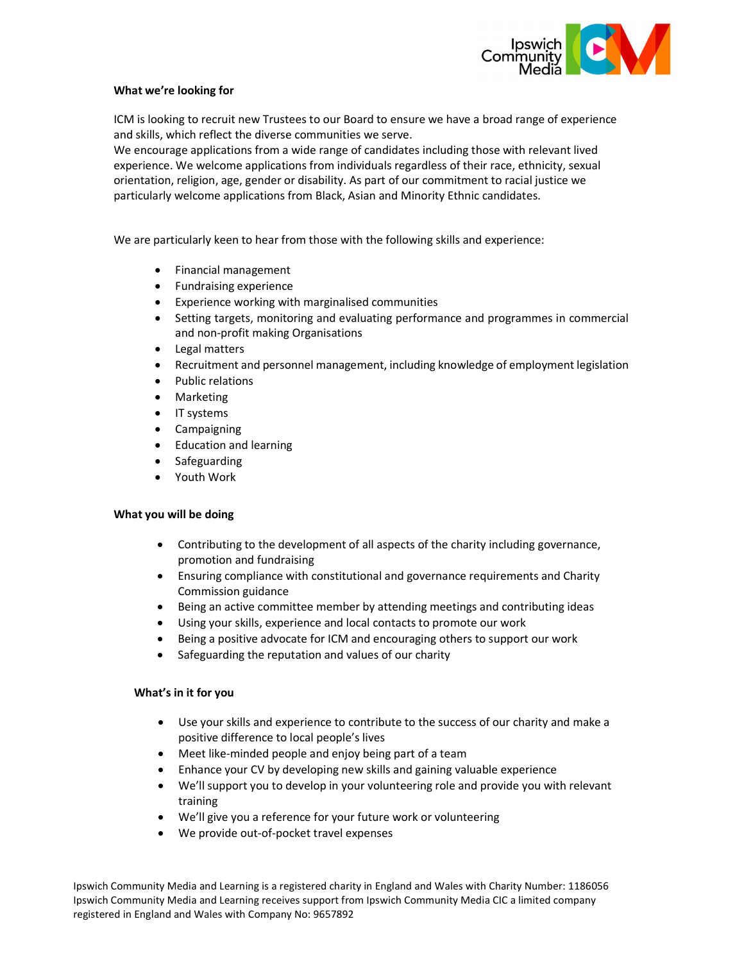

## What we're looking for

ICM is looking to recruit new Trustees to our Board to ensure we have a broad range of experience and skills, which reflect the diverse communities we serve.

We encourage applications from a wide range of candidates including those with relevant lived experience. We welcome applications from individuals regardless of their race, ethnicity, sexual orientation, religion, age, gender or disability. As part of our commitment to racial justice we particularly welcome applications from Black, Asian and Minority Ethnic candidates.

We are particularly keen to hear from those with the following skills and experience:

- Financial management
- Fundraising experience
- Experience working with marginalised communities
- Setting targets, monitoring and evaluating performance and programmes in commercial and non-profit making Organisations
- Legal matters
- Recruitment and personnel management, including knowledge of employment legislation
- Public relations
- Marketing
- IT systems
- Campaigning
- Education and learning
- Safeguarding
- Youth Work

## What you will be doing

- Contributing to the development of all aspects of the charity including governance, promotion and fundraising
- Ensuring compliance with constitutional and governance requirements and Charity Commission guidance
- Being an active committee member by attending meetings and contributing ideas
- Using your skills, experience and local contacts to promote our work
- Being a positive advocate for ICM and encouraging others to support our work
- Safeguarding the reputation and values of our charity

### What's in it for you

- Use your skills and experience to contribute to the success of our charity and make a positive difference to local people's lives
- Meet like-minded people and enjoy being part of a team
- Enhance your CV by developing new skills and gaining valuable experience
- We'll support you to develop in your volunteering role and provide you with relevant training
- We'll give you a reference for your future work or volunteering
- We provide out-of-pocket travel expenses

Ipswich Community Media and Learning is a registered charity in England and Wales with Charity Number: 1186056 Ipswich Community Media and Learning receives support from Ipswich Community Media CIC a limited company registered in England and Wales with Company No: 9657892